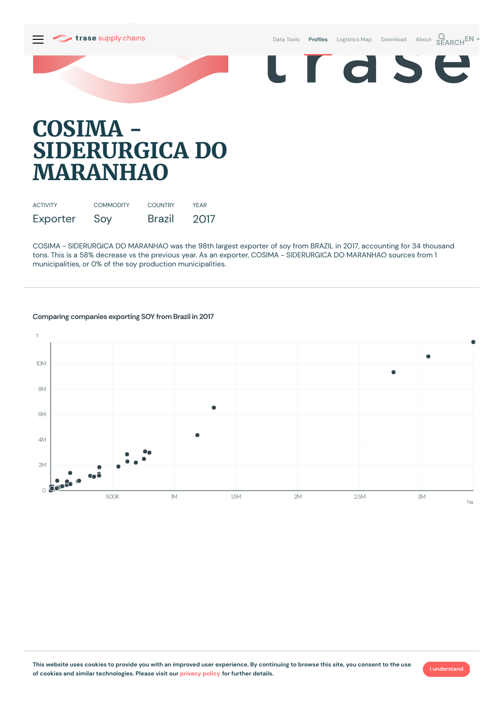Data [Tools](https://supplychains.trase.earth/explore) **Profiles** [Logistics](https://supplychains.trase.earth/logistics-map) Map [Download](https://supplychains.trase.earth/data) [About](https://supplychains.trase.earth/about) **SEARCH<sup>EN</sup>** 

e



# **COSIMA - SIDERURGICA DO MARANHAO**

| <b>ACTIVITY</b> | <b>COMMODITY</b> | <b>COUNTRY</b> | <b>YFAR</b> |
|-----------------|------------------|----------------|-------------|
| Exporter        | Soy              | <b>Brazil</b>  | 2017        |

COSIMA - SIDERURGICA DO MARANHAO was the 98th largest exporter of soy from BRAZIL in 2017, accounting for 34 thousand tons. This is a 58% decrease vs the previous year. As an exporter, COSIMA - SIDERURGICA DO MARANHAO sources from 1 municipalities, or 0% of the soy production municipalities.



### **Comparing companies exporting SOY from Brazil in 2017**